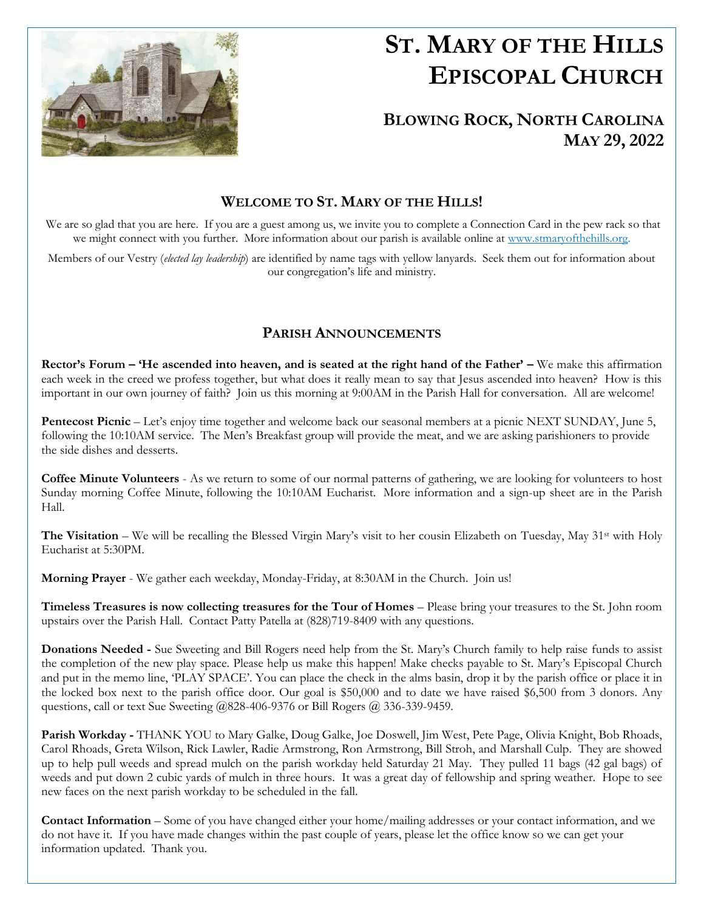

l.

# **ST. MARY OF THE HILLS EPISCOPAL CHURCH**

## **BLOWING ROCK, NORTH CAROLINA MAY 29, 2022**

## **WELCOME TO ST. MARY OF THE HILLS!**

We are so glad that you are here. If you are a guest among us, we invite you to complete a Connection Card in the pew rack so that we might connect with you further. More information about our parish is available online at [www.stmaryofthehills.org.](http://www.stmaryofthehills.org/)

Members of our Vestry (*elected lay leadership*) are identified by name tags with yellow lanyards. Seek them out for information about our congregation's life and ministry.

### **PARISH ANNOUNCEMENTS**

**Rector's Forum – 'He ascended into heaven, and is seated at the right hand of the Father' –** We make this affirmation each week in the creed we profess together, but what does it really mean to say that Jesus ascended into heaven? How is this important in our own journey of faith? Join us this morning at 9:00AM in the Parish Hall for conversation. All are welcome!

**Pentecost Picnic** – Let's enjoy time together and welcome back our seasonal members at a picnic NEXT SUNDAY, June 5, following the 10:10AM service. The Men's Breakfast group will provide the meat, and we are asking parishioners to provide the side dishes and desserts.

**Coffee Minute Volunteers** - As we return to some of our normal patterns of gathering, we are looking for volunteers to host Sunday morning Coffee Minute, following the 10:10AM Eucharist. More information and a sign-up sheet are in the Parish Hall.

**The Visitation** – We will be recalling the Blessed Virgin Mary's visit to her cousin Elizabeth on Tuesday, May 31<sup>st</sup> with Holy Eucharist at 5:30PM.

**Morning Prayer** - We gather each weekday, Monday-Friday, at 8:30AM in the Church. Join us!

**Timeless Treasures is now collecting treasures for the Tour of Homes** – Please bring your treasures to the St. John room upstairs over the Parish Hall. Contact Patty Patella at (828)719-8409 with any questions.

**Donations Needed -** Sue Sweeting and Bill Rogers need help from the St. Mary's Church family to help raise funds to assist the completion of the new play space. Please help us make this happen! Make checks payable to St. Mary's Episcopal Church and put in the memo line, 'PLAY SPACE'. You can place the check in the alms basin, drop it by the parish office or place it in the locked box next to the parish office door. Our goal is \$50,000 and to date we have raised \$6,500 from 3 donors. Any questions, call or text Sue Sweeting @828-406-9376 or Bill Rogers @ 336-339-9459.

**Parish Workday -** THANK YOU to Mary Galke, Doug Galke, Joe Doswell, Jim West, Pete Page, Olivia Knight, Bob Rhoads, Carol Rhoads, Greta Wilson, Rick Lawler, Radie Armstrong, Ron Armstrong, Bill Stroh, and Marshall Culp. They are showed up to help pull weeds and spread mulch on the parish workday held Saturday 21 May. They pulled 11 bags (42 gal bags) of weeds and put down 2 cubic yards of mulch in three hours. It was a great day of fellowship and spring weather. Hope to see new faces on the next parish workday to be scheduled in the fall.

**Contact Information** – Some of you have changed either your home/mailing addresses or your contact information, and we do not have it. If you have made changes within the past couple of years, please let the office know so we can get your information updated. Thank you.